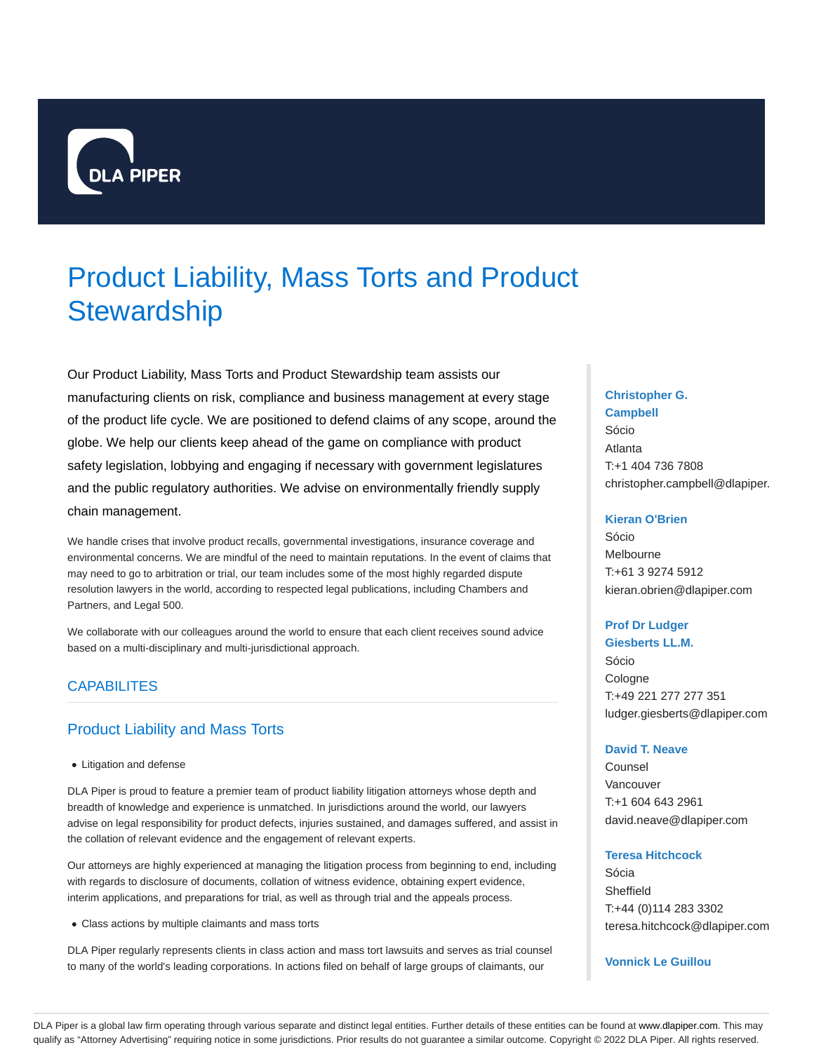

# Product Liability, Mass Torts and Product **Stewardship**

Our Product Liability, Mass Torts and Product Stewardship team assists our manufacturing clients on risk, compliance and business management at every stage of the product life cycle. We are positioned to defend claims of any scope, around the globe. We help our clients keep ahead of the game on compliance with product safety legislation, lobbying and engaging if necessary with government legislatures and the public regulatory authorities. We advise on environmentally friendly supply chain management.

We handle crises that involve product recalls, governmental investigations, insurance coverage and environmental concerns. We are mindful of the need to maintain reputations. In the event of claims that may need to go to arbitration or trial, our team includes some of the most highly regarded dispute resolution lawyers in the world, according to respected legal publications, including Chambers and Partners, and Legal 500.

We collaborate with our colleagues around the world to ensure that each client receives sound advice based on a multi-disciplinary and multi-jurisdictional approach.

## CAPABILITES

# Product Liability and Mass Torts

Litigation and defense

DLA Piper is proud to feature a premier team of product liability litigation attorneys whose depth and breadth of knowledge and experience is unmatched. In jurisdictions around the world, our lawyers advise on legal responsibility for product defects, injuries sustained, and damages suffered, and assist in the collation of relevant evidence and the engagement of relevant experts.

Our attorneys are highly experienced at managing the litigation process from beginning to end, including with regards to disclosure of documents, collation of witness evidence, obtaining expert evidence, interim applications, and preparations for trial, as well as through trial and the appeals process.

Class actions by multiple claimants and mass torts

DLA Piper regularly represents clients in class action and mass tort lawsuits and serves as trial counsel to many of the world's leading corporations. In actions filed on behalf of large groups of claimants, our

## **Christopher G.**

**Campbell** Sócio Atlanta T:+1 404 736 7808 christopher.campbell@dlapiper.

#### **Kieran O'Brien**

Sócio Melbourne T:+61 3 9274 5912 kieran.obrien@dlapiper.com

## **Prof Dr Ludger Giesberts LL.M.**

Sócio Cologne T:+49 221 277 277 351 ludger.giesberts@dlapiper.com

#### **David T. Neave**

Counsel Vancouver T:+1 604 643 2961 david.neave@dlapiper.com

#### **Teresa Hitchcock**

Sócia Sheffield T:+44 (0)114 283 3302 teresa.hitchcock@dlapiper.com

**Vonnick Le Guillou**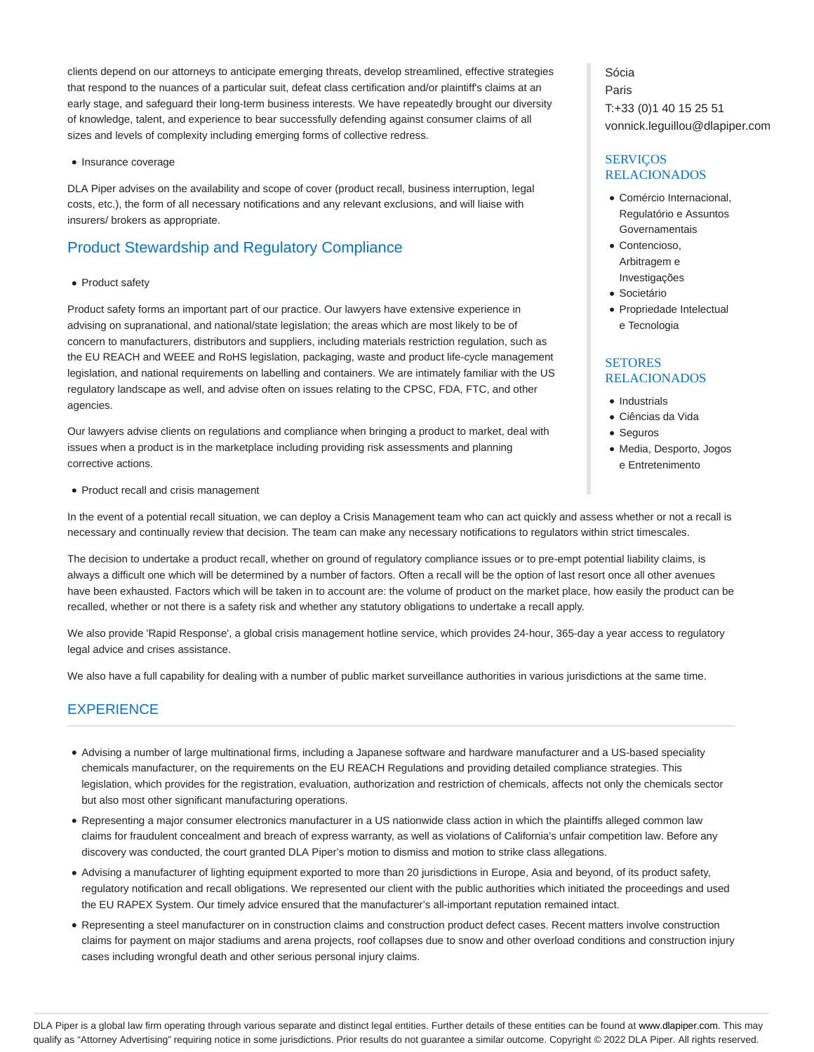clients depend on our attorneys to anticipate emerging threats, develop streamlined, effective strategies that respond to the nuances of a particular suit, defeat class certification and/or plaintiff's claims at an early stage, and safeguard their long-term business interests. We have repeatedly brought our diversity of knowledge, talent, and experience to bear successfully defending against consumer claims of all sizes and levels of complexity including emerging forms of collective redress.

• Insurance coverage

DLA Piper advises on the availability and scope of cover (product recall, business interruption, legal costs, etc.), the form of all necessary notifications and any relevant exclusions, and will liaise with insurers/ brokers as appropriate.

# Product Stewardship and Regulatory Compliance

• Product safety

Product safety forms an important part of our practice. Our lawyers have extensive experience in advising on supranational, and national/state legislation; the areas which are most likely to be of concern to manufacturers, distributors and suppliers, including materials restriction regulation, such as the EU REACH and WEEE and RoHS legislation, packaging, waste and product life-cycle management legislation, and national requirements on labelling and containers. We are intimately familiar with the US regulatory landscape as well, and advise often on issues relating to the CPSC, FDA, FTC, and other agencies.

Our lawyers advise clients on regulations and compliance when bringing a product to market, deal with issues when a product is in the marketplace including providing risk assessments and planning corrective actions.

• Product recall and crisis management

In the event of a potential recall situation, we can deploy a Crisis Management team who can act quickly and assess whether or not a recall is necessary and continually review that decision. The team can make any necessary notifications to regulators within strict timescales.

The decision to undertake a product recall, whether on ground of regulatory compliance issues or to pre-empt potential liability claims, is always a difficult one which will be determined by a number of factors. Often a recall will be the option of last resort once all other avenues have been exhausted. Factors which will be taken in to account are: the volume of product on the market place, how easily the product can be recalled, whether or not there is a safety risk and whether any statutory obligations to undertake a recall apply.

We also provide 'Rapid Response', a global crisis management hotline service, which provides 24-hour, 365-day a year access to regulatory legal advice and crises assistance.

We also have a full capability for dealing with a number of public market surveillance authorities in various jurisdictions at the same time.

# **EXPERIENCE**

- Advising a number of large multinational firms, including a Japanese software and hardware manufacturer and a US-based speciality chemicals manufacturer, on the requirements on the EU REACH Regulations and providing detailed compliance strategies. This legislation, which provides for the registration, evaluation, authorization and restriction of chemicals, affects not only the chemicals sector but also most other significant manufacturing operations.
- Representing a major consumer electronics manufacturer in a US nationwide class action in which the plaintiffs alleged common law claims for fraudulent concealment and breach of express warranty, as well as violations of California's unfair competition law. Before any discovery was conducted, the court granted DLA Piper's motion to dismiss and motion to strike class allegations.
- Advising a manufacturer of lighting equipment exported to more than 20 jurisdictions in Europe, Asia and beyond, of its product safety, regulatory notification and recall obligations. We represented our client with the public authorities which initiated the proceedings and used the EU RAPEX System. Our timely advice ensured that the manufacturer's all-important reputation remained intact.
- Representing a steel manufacturer on in construction claims and construction product defect cases. Recent matters involve construction claims for payment on major stadiums and arena projects, roof collapses due to snow and other overload conditions and construction injury cases including wrongful death and other serious personal injury claims.

Sócia Paris T:+33 (0)1 40 15 25 51 vonnick.leguillou@dlapiper.com

## **SERVICOS** RELACIONADOS

- Comércio Internacional, Regulatório e Assuntos **Governamentais**
- Contencioso, Arbitragem e Investigações
- **·** Societário
- Propriedade Intelectual e Tecnologia

# **SETORES** RELACIONADOS

- Industrials
- Ciências da Vida
- Seguros
- Media, Desporto, Jogos e Entretenimento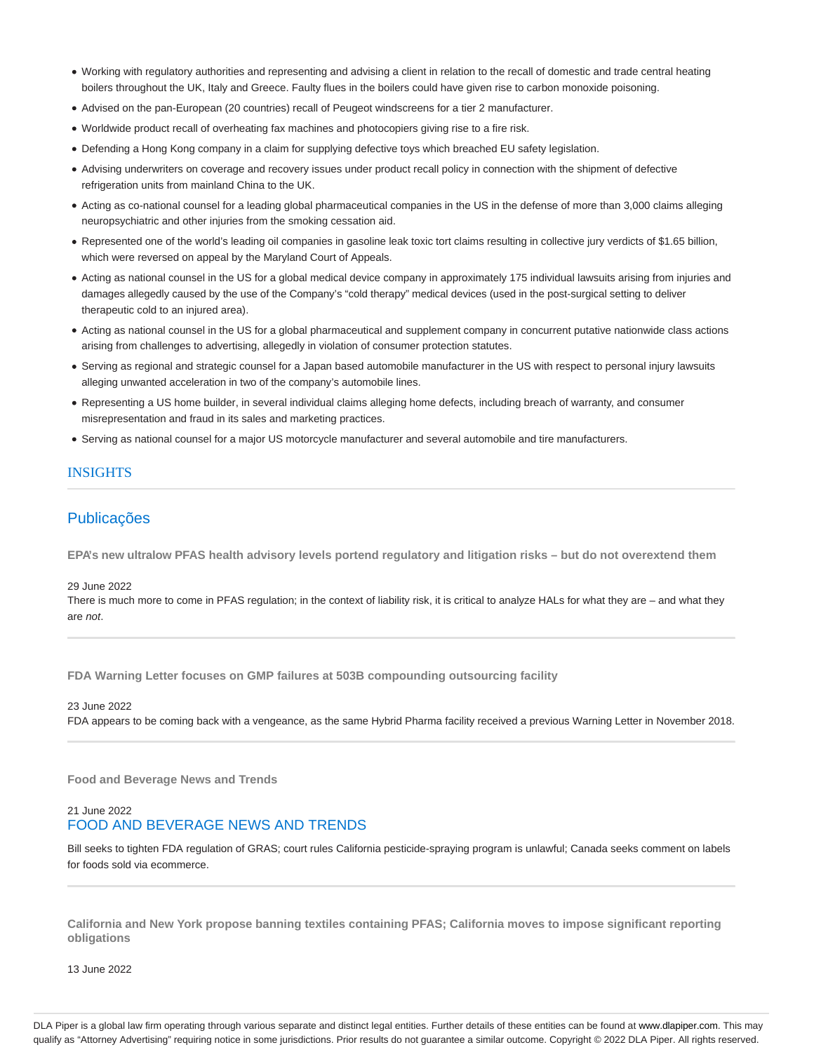- Working with regulatory authorities and representing and advising a client in relation to the recall of domestic and trade central heating boilers throughout the UK, Italy and Greece. Faulty flues in the boilers could have given rise to carbon monoxide poisoning.
- Advised on the pan-European (20 countries) recall of Peugeot windscreens for a tier 2 manufacturer.
- Worldwide product recall of overheating fax machines and photocopiers giving rise to a fire risk.
- Defending a Hong Kong company in a claim for supplying defective toys which breached EU safety legislation.
- Advising underwriters on coverage and recovery issues under product recall policy in connection with the shipment of defective refrigeration units from mainland China to the UK.
- Acting as co-national counsel for a leading global pharmaceutical companies in the US in the defense of more than 3,000 claims alleging neuropsychiatric and other injuries from the smoking cessation aid.
- Represented one of the world's leading oil companies in gasoline leak toxic tort claims resulting in collective jury verdicts of \$1.65 billion, which were reversed on appeal by the Maryland Court of Appeals.
- Acting as national counsel in the US for a global medical device company in approximately 175 individual lawsuits arising from injuries and damages allegedly caused by the use of the Company's "cold therapy" medical devices (used in the post-surgical setting to deliver therapeutic cold to an injured area).
- Acting as national counsel in the US for a global pharmaceutical and supplement company in concurrent putative nationwide class actions arising from challenges to advertising, allegedly in violation of consumer protection statutes.
- Serving as regional and strategic counsel for a Japan based automobile manufacturer in the US with respect to personal injury lawsuits alleging unwanted acceleration in two of the company's automobile lines.
- Representing a US home builder, in several individual claims alleging home defects, including breach of warranty, and consumer misrepresentation and fraud in its sales and marketing practices.
- Serving as national counsel for a major US motorcycle manufacturer and several automobile and tire manufacturers.

## INSIGHTS

# Publicações

**EPA's new ultralow PFAS health advisory levels portend regulatory and litigation risks – but do not overextend them**

#### 29 June 2022

There is much more to come in PFAS regulation; in the context of liability risk, it is critical to analyze HALs for what they are – and what they are not.

**FDA Warning Letter focuses on GMP failures at 503B compounding outsourcing facility**

23 June 2022 FDA appears to be coming back with a vengeance, as the same Hybrid Pharma facility received a previous Warning Letter in November 2018.

**Food and Beverage News and Trends**

# 21 June 2022 FOOD AND BEVERAGE NEWS AND TRENDS

Bill seeks to tighten FDA regulation of GRAS; court rules California pesticide-spraying program is unlawful; Canada seeks comment on labels for foods sold via ecommerce.

**California and New York propose banning textiles containing PFAS; California moves to impose significant reporting obligations**

13 June 2022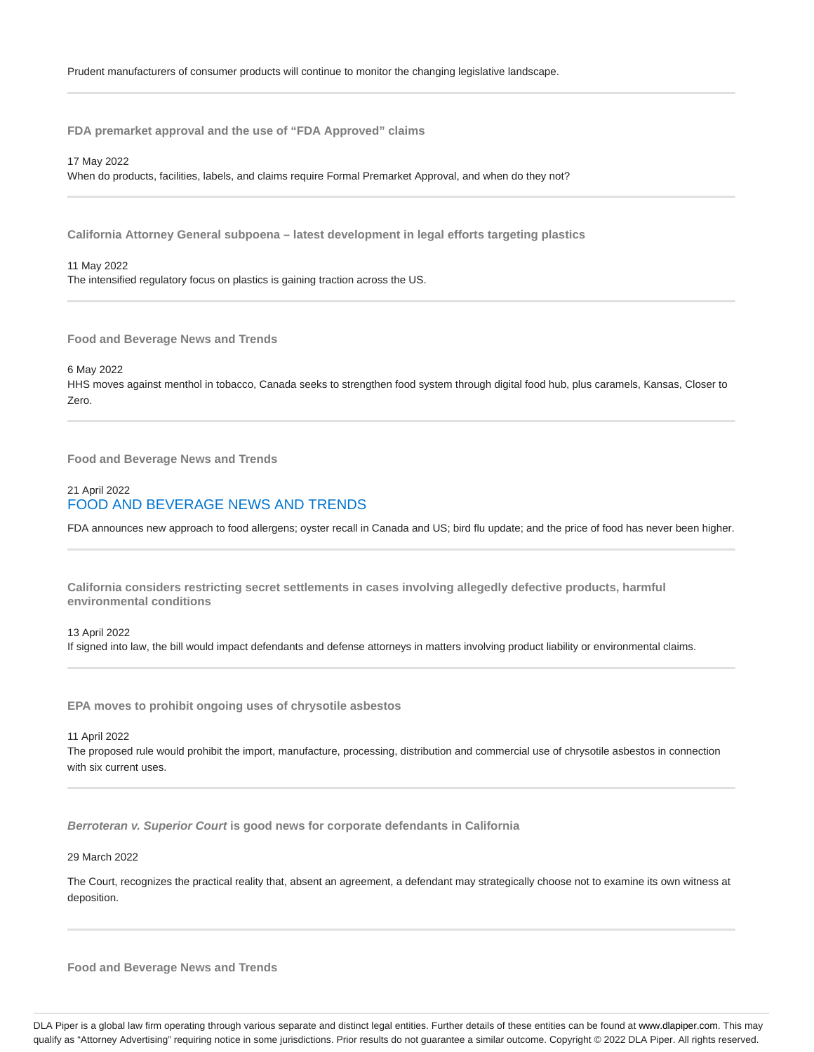**FDA premarket approval and the use of "FDA Approved" claims**

17 May 2022

When do products, facilities, labels, and claims require Formal Premarket Approval, and when do they not?

**California Attorney General subpoena – latest development in legal efforts targeting plastics**

11 May 2022 The intensified regulatory focus on plastics is gaining traction across the US.

**Food and Beverage News and Trends**

6 May 2022

HHS moves against menthol in tobacco, Canada seeks to strengthen food system through digital food hub, plus caramels, Kansas, Closer to Zero.

**Food and Beverage News and Trends**

## 21 April 2022 FOOD AND BEVERAGE NEWS AND TRENDS

FDA announces new approach to food allergens; oyster recall in Canada and US; bird flu update; and the price of food has never been higher.

**California considers restricting secret settlements in cases involving allegedly defective products, harmful environmental conditions**

13 April 2022 If signed into law, the bill would impact defendants and defense attorneys in matters involving product liability or environmental claims.

**EPA moves to prohibit ongoing uses of chrysotile asbestos**

11 April 2022

The proposed rule would prohibit the import, manufacture, processing, distribution and commercial use of chrysotile asbestos in connection with six current uses.

**Berroteran v. Superior Court is good news for corporate defendants in California**

29 March 2022

The Court, recognizes the practical reality that, absent an agreement, a defendant may strategically choose not to examine its own witness at deposition.

**Food and Beverage News and Trends**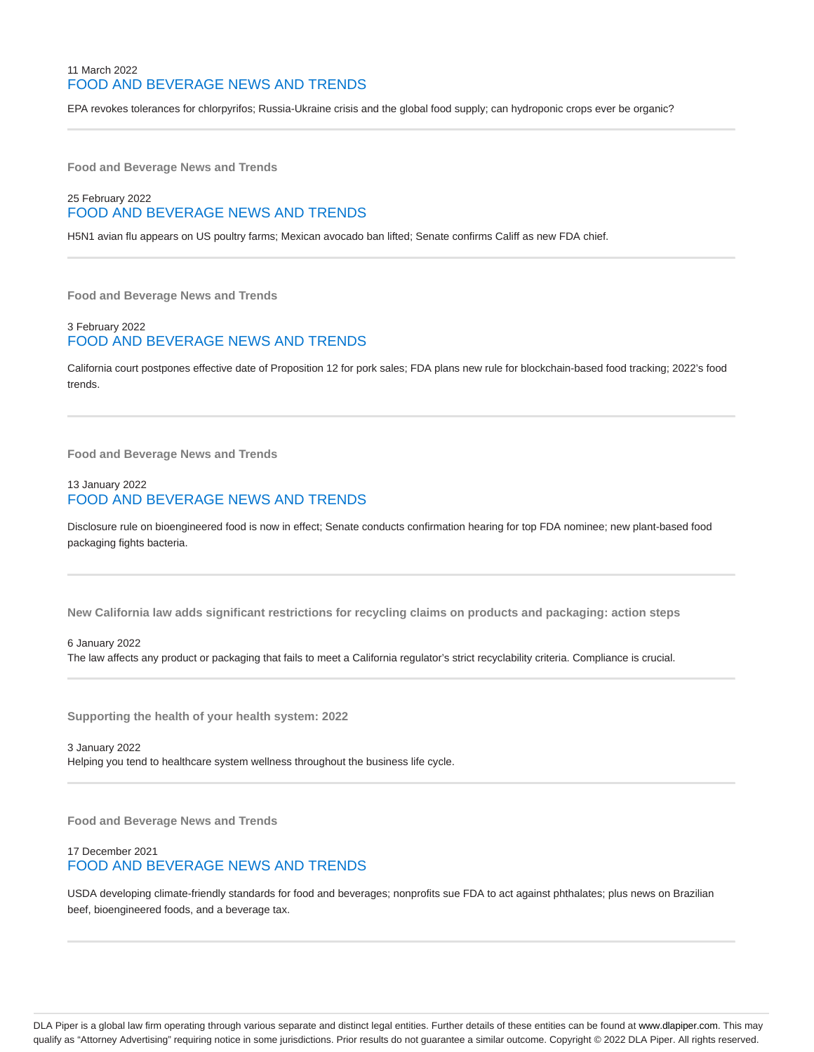# 11 March 2022 FOOD AND BEVERAGE NEWS AND TRENDS

EPA revokes tolerances for chlorpyrifos; Russia-Ukraine crisis and the global food supply; can hydroponic crops ever be organic?

**Food and Beverage News and Trends**

# 25 February 2022 FOOD AND BEVERAGE NEWS AND TRENDS

H5N1 avian flu appears on US poultry farms; Mexican avocado ban lifted; Senate confirms Califf as new FDA chief.

**Food and Beverage News and Trends**

## 3 February 2022 FOOD AND BEVERAGE NEWS AND TRENDS

California court postpones effective date of Proposition 12 for pork sales; FDA plans new rule for blockchain-based food tracking; 2022's food trends.

**Food and Beverage News and Trends**

## 13 January 2022 FOOD AND BEVERAGE NEWS AND TRENDS

Disclosure rule on bioengineered food is now in effect; Senate conducts confirmation hearing for top FDA nominee; new plant-based food packaging fights bacteria.

**New California law adds significant restrictions for recycling claims on products and packaging: action steps**

#### 6 January 2022

The law affects any product or packaging that fails to meet a California regulator's strict recyclability criteria. Compliance is crucial.

**Supporting the health of your health system: 2022**

3 January 2022 Helping you tend to healthcare system wellness throughout the business life cycle.

**Food and Beverage News and Trends**

## 17 December 2021 FOOD AND BEVERAGE NEWS AND TRENDS

USDA developing climate-friendly standards for food and beverages; nonprofits sue FDA to act against phthalates; plus news on Brazilian beef, bioengineered foods, and a beverage tax.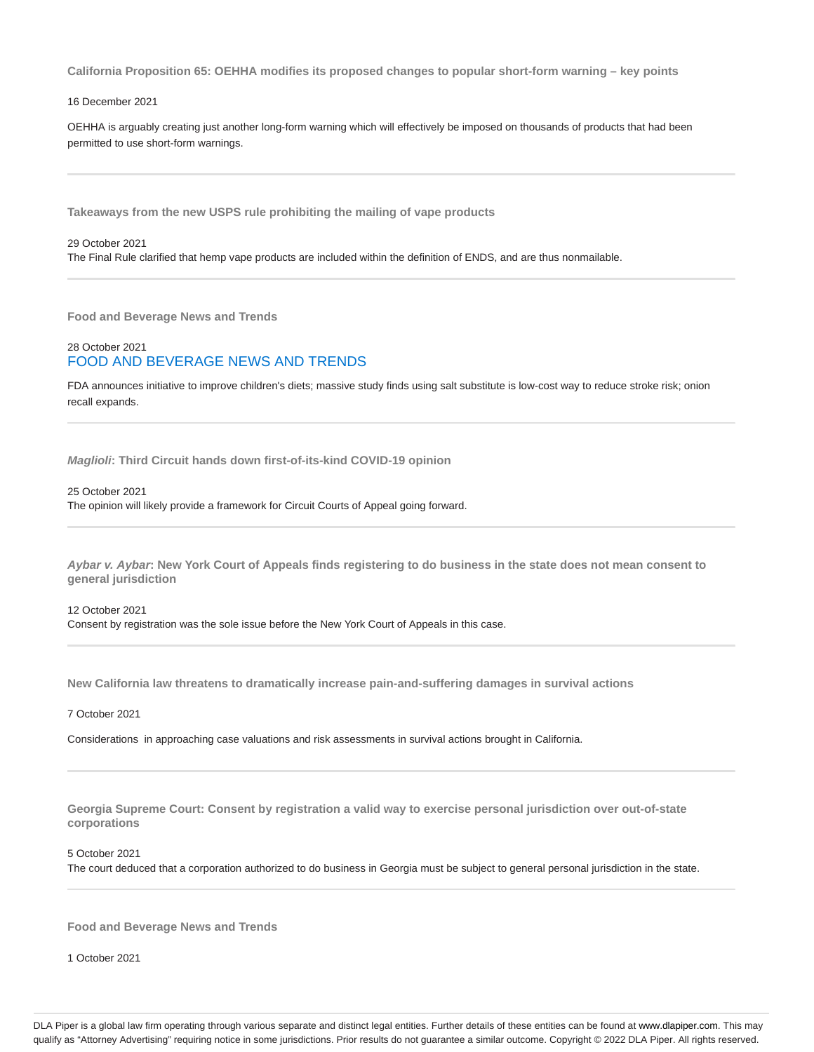**California Proposition 65: OEHHA modifies its proposed changes to popular short-form warning – key points**

#### 16 December 2021

OEHHA is arguably creating just another long-form warning which will effectively be imposed on thousands of products that had been permitted to use short-form warnings.

**Takeaways from the new USPS rule prohibiting the mailing of vape products**

#### 29 October 2021

The Final Rule clarified that hemp vape products are included within the definition of ENDS, and are thus nonmailable.

**Food and Beverage News and Trends**

## 28 October 2021 FOOD AND BEVERAGE NEWS AND TRENDS

FDA announces initiative to improve children's diets; massive study finds using salt substitute is low-cost way to reduce stroke risk; onion recall expands.

**Maglioli: Third Circuit hands down first-of-its-kind COVID-19 opinion**

#### 25 October 2021

The opinion will likely provide a framework for Circuit Courts of Appeal going forward.

**Aybar v. Aybar: New York Court of Appeals finds registering to do business in the state does not mean consent to general jurisdiction**

12 October 2021 Consent by registration was the sole issue before the New York Court of Appeals in this case.

**New California law threatens to dramatically increase pain-and-suffering damages in survival actions**

#### 7 October 2021

Considerations in approaching case valuations and risk assessments in survival actions brought in California.

**Georgia Supreme Court: Consent by registration a valid way to exercise personal jurisdiction over out-of-state corporations**

#### 5 October 2021

The court deduced that a corporation authorized to do business in Georgia must be subject to general personal jurisdiction in the state.

**Food and Beverage News and Trends**

1 October 2021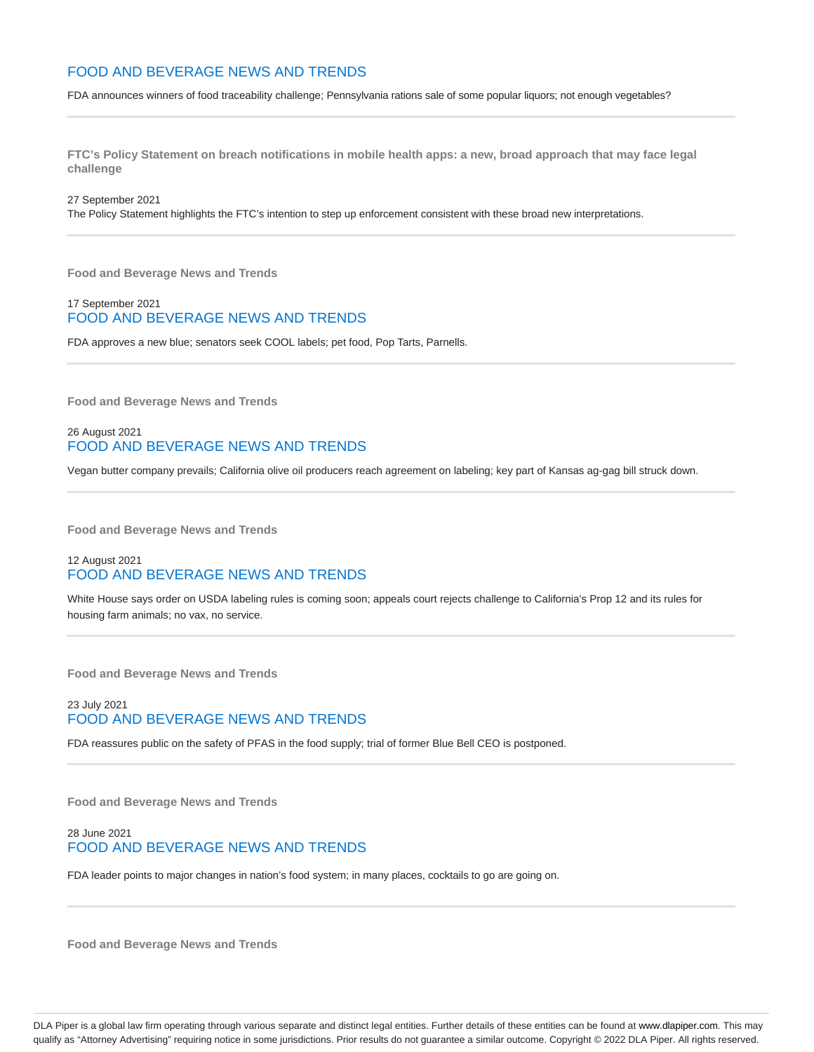# FOOD AND BEVERAGE NEWS AND TRENDS

FDA announces winners of food traceability challenge; Pennsylvania rations sale of some popular liquors; not enough vegetables?

**FTC's Policy Statement on breach notifications in mobile health apps: a new, broad approach that may face legal challenge**

27 September 2021

The Policy Statement highlights the FTC's intention to step up enforcement consistent with these broad new interpretations.

**Food and Beverage News and Trends**

#### 17 September 2021 FOOD AND BEVERAGE NEWS AND TRENDS

FDA approves a new blue; senators seek COOL labels; pet food, Pop Tarts, Parnells.

**Food and Beverage News and Trends**

## 26 August 2021 FOOD AND BEVERAGE NEWS AND TRENDS

Vegan butter company prevails; California olive oil producers reach agreement on labeling; key part of Kansas ag-gag bill struck down.

**Food and Beverage News and Trends**

## 12 August 2021 FOOD AND BEVERAGE NEWS AND TRENDS

White House says order on USDA labeling rules is coming soon; appeals court rejects challenge to California's Prop 12 and its rules for housing farm animals; no vax, no service.

**Food and Beverage News and Trends**

# 23 July 2021 FOOD AND BEVERAGE NEWS AND TRENDS

FDA reassures public on the safety of PFAS in the food supply; trial of former Blue Bell CEO is postponed.

**Food and Beverage News and Trends**

# 28 June 2021 FOOD AND BEVERAGE NEWS AND TRENDS

FDA leader points to major changes in nation's food system; in many places, cocktails to go are going on.

**Food and Beverage News and Trends**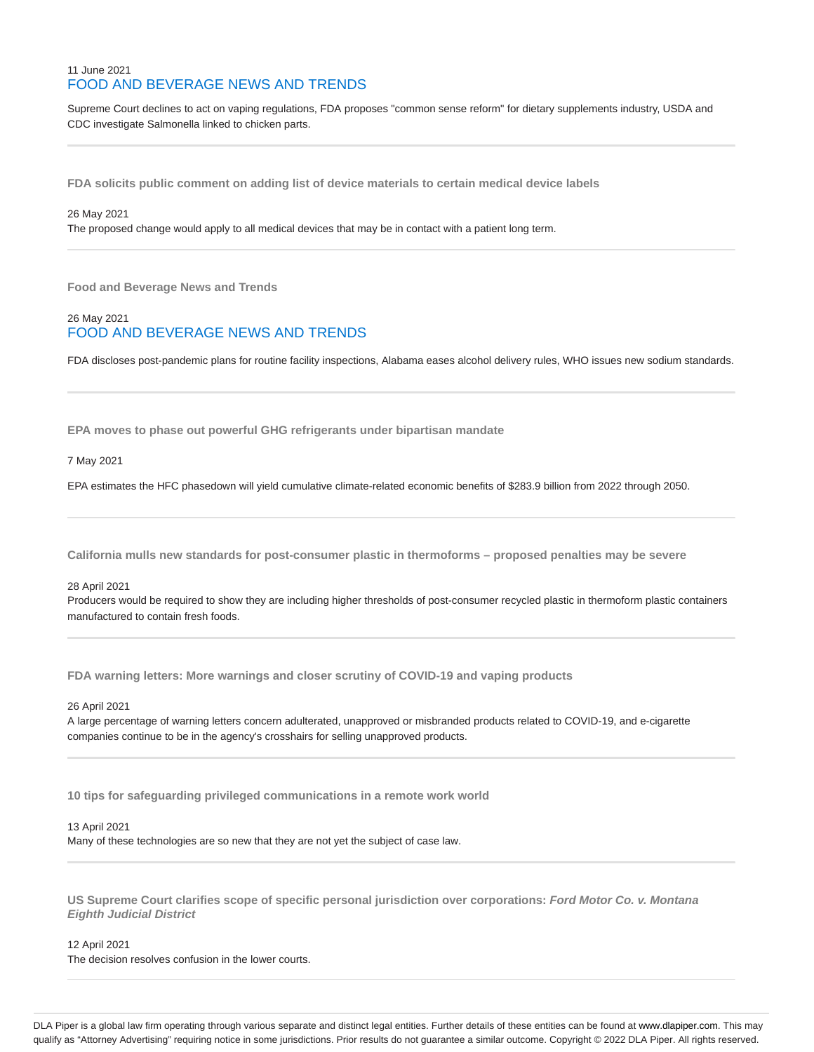## 11 June 2021 FOOD AND BEVERAGE NEWS AND TRENDS

Supreme Court declines to act on vaping regulations, FDA proposes "common sense reform" for dietary supplements industry, USDA and CDC investigate Salmonella linked to chicken parts.

**FDA solicits public comment on adding list of device materials to certain medical device labels**

#### 26 May 2021

The proposed change would apply to all medical devices that may be in contact with a patient long term.

**Food and Beverage News and Trends**

## 26 May 2021 FOOD AND BEVERAGE NEWS AND TRENDS

FDA discloses post-pandemic plans for routine facility inspections, Alabama eases alcohol delivery rules, WHO issues new sodium standards.

**EPA moves to phase out powerful GHG refrigerants under bipartisan mandate**

7 May 2021

EPA estimates the HFC phasedown will yield cumulative climate-related economic benefits of \$283.9 billion from 2022 through 2050.

**California mulls new standards for post-consumer plastic in thermoforms – proposed penalties may be severe**

#### 28 April 2021

Producers would be required to show they are including higher thresholds of post-consumer recycled plastic in thermoform plastic containers manufactured to contain fresh foods.

**FDA warning letters: More warnings and closer scrutiny of COVID-19 and vaping products**

26 April 2021

A large percentage of warning letters concern adulterated, unapproved or misbranded products related to COVID-19, and e-cigarette companies continue to be in the agency's crosshairs for selling unapproved products.

**10 tips for safeguarding privileged communications in a remote work world**

#### 13 April 2021

Many of these technologies are so new that they are not yet the subject of case law.

**US Supreme Court clarifies scope of specific personal jurisdiction over corporations: Ford Motor Co. v. Montana Eighth Judicial District**

12 April 2021

The decision resolves confusion in the lower courts.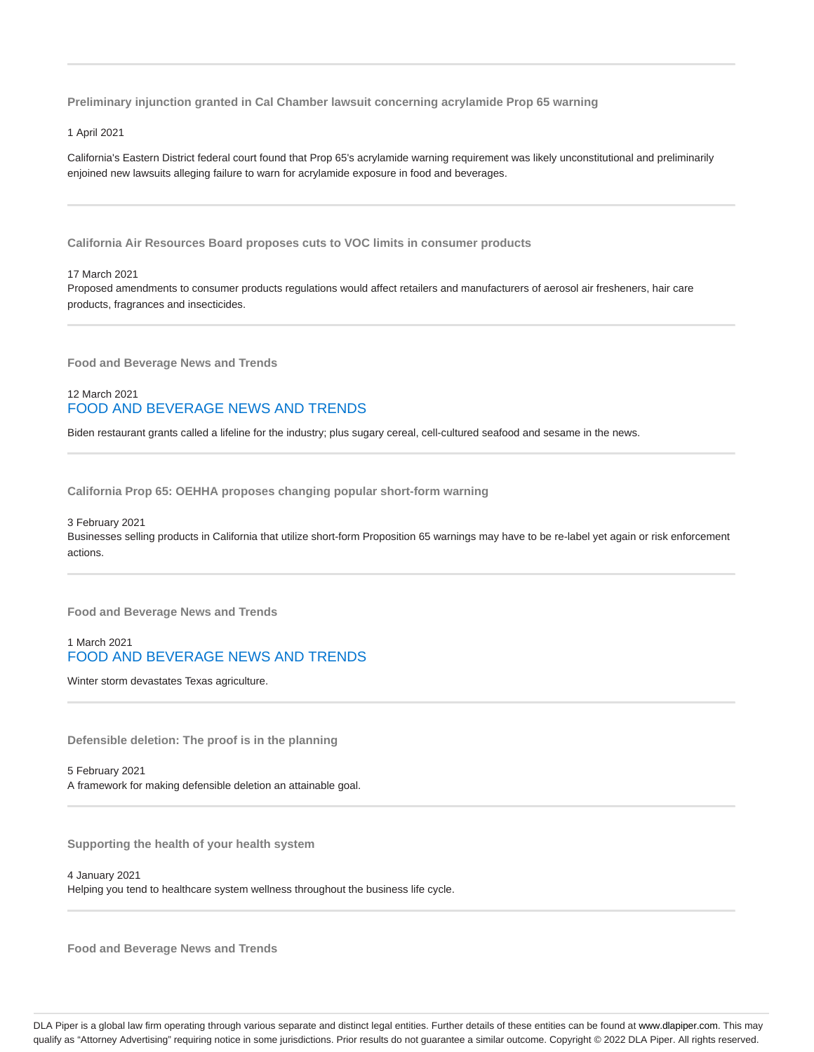**Preliminary injunction granted in Cal Chamber lawsuit concerning acrylamide Prop 65 warning**

#### 1 April 2021

California's Eastern District federal court found that Prop 65's acrylamide warning requirement was likely unconstitutional and preliminarily enjoined new lawsuits alleging failure to warn for acrylamide exposure in food and beverages.

**California Air Resources Board proposes cuts to VOC limits in consumer products**

#### 17 March 2021

Proposed amendments to consumer products regulations would affect retailers and manufacturers of aerosol air fresheners, hair care products, fragrances and insecticides.

**Food and Beverage News and Trends**

# 12 March 2021 FOOD AND BEVERAGE NEWS AND TRENDS

Biden restaurant grants called a lifeline for the industry; plus sugary cereal, cell-cultured seafood and sesame in the news.

**California Prop 65: OEHHA proposes changing popular short-form warning**

#### 3 February 2021

Businesses selling products in California that utilize short-form Proposition 65 warnings may have to be re-label yet again or risk enforcement actions.

**Food and Beverage News and Trends**

## 1 March 2021 FOOD AND BEVERAGE NEWS AND TRENDS

Winter storm devastates Texas agriculture.

**Defensible deletion: The proof is in the planning**

5 February 2021 A framework for making defensible deletion an attainable goal.

**Supporting the health of your health system**

4 January 2021 Helping you tend to healthcare system wellness throughout the business life cycle.

**Food and Beverage News and Trends**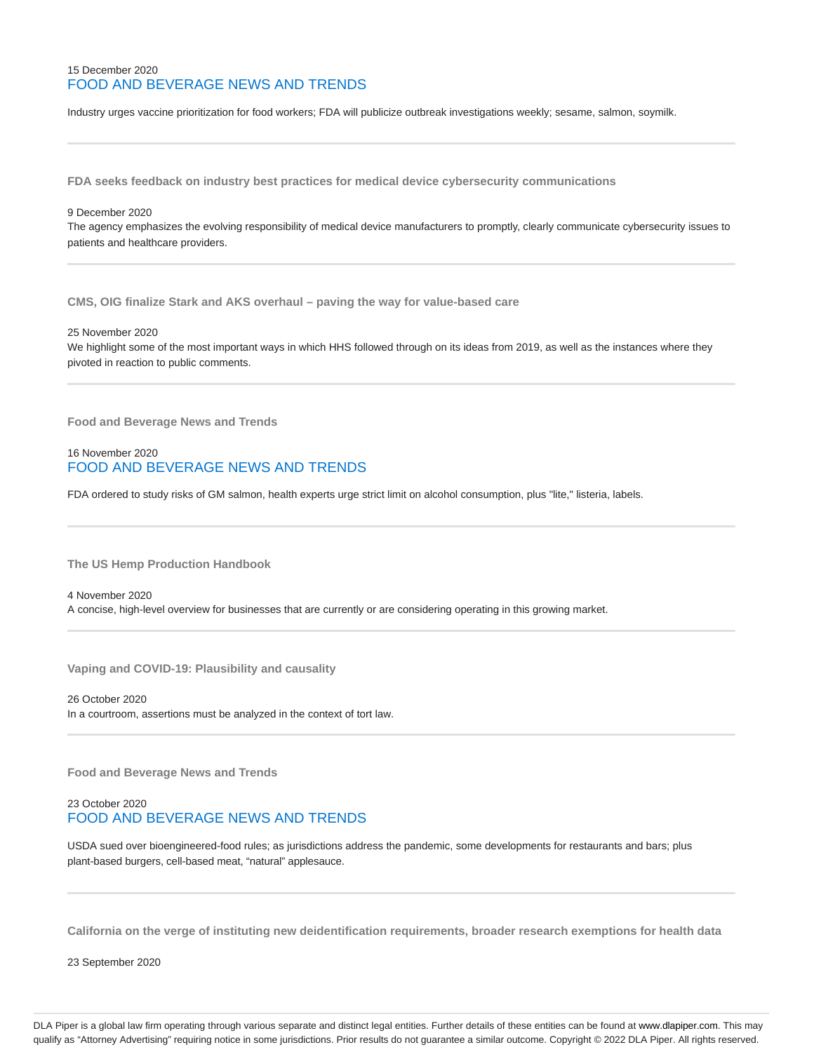## 15 December 2020 FOOD AND BEVERAGE NEWS AND TRENDS

Industry urges vaccine prioritization for food workers; FDA will publicize outbreak investigations weekly; sesame, salmon, soymilk.

**FDA seeks feedback on industry best practices for medical device cybersecurity communications**

#### 9 December 2020

The agency emphasizes the evolving responsibility of medical device manufacturers to promptly, clearly communicate cybersecurity issues to patients and healthcare providers.

**CMS, OIG finalize Stark and AKS overhaul – paving the way for value-based care**

25 November 2020

We highlight some of the most important ways in which HHS followed through on its ideas from 2019, as well as the instances where they pivoted in reaction to public comments.

**Food and Beverage News and Trends**

## 16 November 2020 FOOD AND BEVERAGE NEWS AND TRENDS

FDA ordered to study risks of GM salmon, health experts urge strict limit on alcohol consumption, plus "lite," listeria, labels.

**The US Hemp Production Handbook**

4 November 2020 A concise, high-level overview for businesses that are currently or are considering operating in this growing market.

**Vaping and COVID-19: Plausibility and causality**

26 October 2020 In a courtroom, assertions must be analyzed in the context of tort law.

**Food and Beverage News and Trends**

## 23 October 2020 FOOD AND BEVERAGE NEWS AND TRENDS

USDA sued over bioengineered-food rules; as jurisdictions address the pandemic, some developments for restaurants and bars; plus plant-based burgers, cell-based meat, "natural" applesauce.

**California on the verge of instituting new deidentification requirements, broader research exemptions for health data**

23 September 2020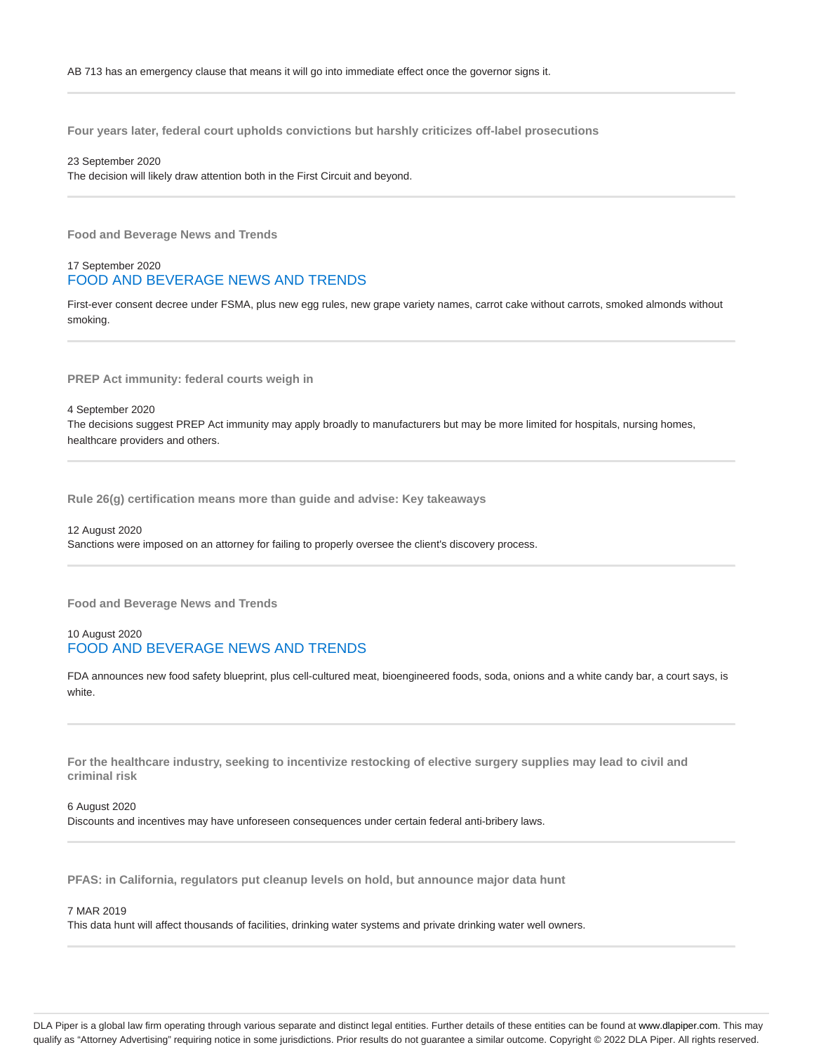**Four years later, federal court upholds convictions but harshly criticizes off-label prosecutions**

23 September 2020 The decision will likely draw attention both in the First Circuit and beyond.

**Food and Beverage News and Trends**

17 September 2020 FOOD AND BEVERAGE NEWS AND TRENDS

First-ever consent decree under FSMA, plus new egg rules, new grape variety names, carrot cake without carrots, smoked almonds without smoking.

**PREP Act immunity: federal courts weigh in**

4 September 2020 The decisions suggest PREP Act immunity may apply broadly to manufacturers but may be more limited for hospitals, nursing homes, healthcare providers and others.

**Rule 26(g) certification means more than guide and advise: Key takeaways**

12 August 2020 Sanctions were imposed on an attorney for failing to properly oversee the client's discovery process.

**Food and Beverage News and Trends**

## 10 August 2020 FOOD AND BEVERAGE NEWS AND TRENDS

FDA announces new food safety blueprint, plus cell-cultured meat, bioengineered foods, soda, onions and a white candy bar, a court says, is white.

**For the healthcare industry, seeking to incentivize restocking of elective surgery supplies may lead to civil and criminal risk**

6 August 2020 Discounts and incentives may have unforeseen consequences under certain federal anti-bribery laws.

**PFAS: in California, regulators put cleanup levels on hold, but announce major data hunt**

#### 7 MAR 2019

This data hunt will affect thousands of facilities, drinking water systems and private drinking water well owners.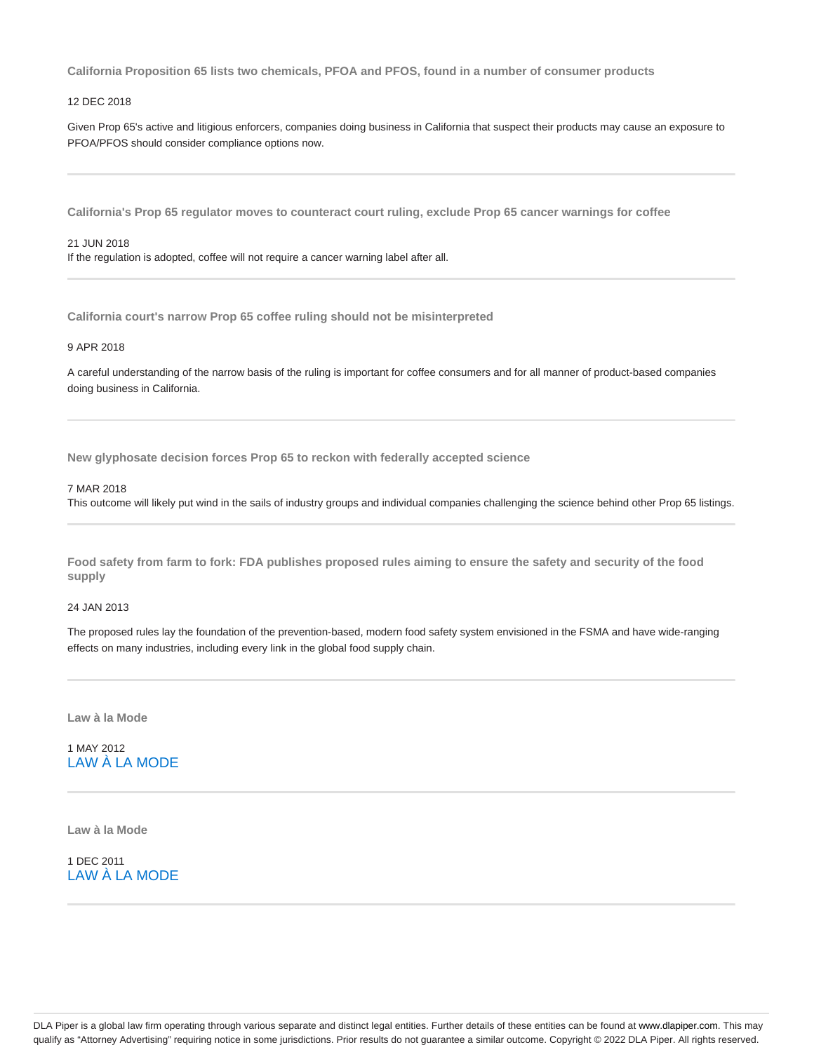**California Proposition 65 lists two chemicals, PFOA and PFOS, found in a number of consumer products**

#### 12 DEC 2018

Given Prop 65's active and litigious enforcers, companies doing business in California that suspect their products may cause an exposure to PFOA/PFOS should consider compliance options now.

**California's Prop 65 regulator moves to counteract court ruling, exclude Prop 65 cancer warnings for coffee**

#### 21 JUN 2018

If the regulation is adopted, coffee will not require a cancer warning label after all.

**California court's narrow Prop 65 coffee ruling should not be misinterpreted**

#### 9 APR 2018

A careful understanding of the narrow basis of the ruling is important for coffee consumers and for all manner of product-based companies doing business in California.

**New glyphosate decision forces Prop 65 to reckon with federally accepted science**

## 7 MAR 2018

This outcome will likely put wind in the sails of industry groups and individual companies challenging the science behind other Prop 65 listings.

**Food safety from farm to fork: FDA publishes proposed rules aiming to ensure the safety and security of the food supply**

#### 24 JAN 2013

The proposed rules lay the foundation of the prevention-based, modern food safety system envisioned in the FSMA and have wide-ranging effects on many industries, including every link in the global food supply chain.

**Law à la Mode**

1 MAY 2012 LAW À LA MODE

**Law à la Mode**

1 DEC 2011 LAW À LA MODE